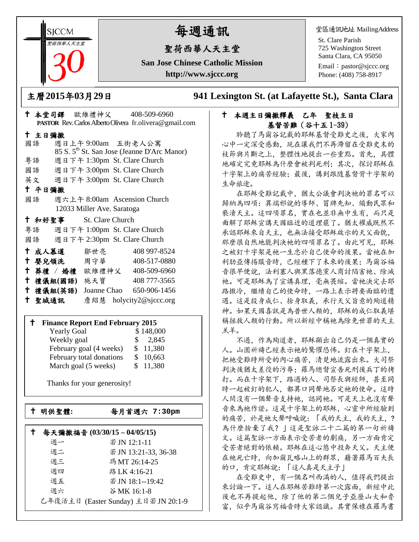**SICCM** 聖荷西華人天主堂 

# 每週通訊

## 聖荷西華人天主堂

**San Jose Chinese Catholic Mission http://www.sjccc.org**

堂區通訊地址 MailingAddress

St. Clare Parish 725 Washington Street Santa Clara, CA 95050

Email: [pastor@sjccc.org](mailto:pastor@sjccc.org) Phone: (408) 758-8917

主曆**2015**年**03**月**29**日 **941 Lexington St. (at Lafayette St.), Santa Clara** 

### 本堂司鐸 歐維禮神父 408-509-6960 **PASTOR** Rev. Carlos Alberto Olivera fr.olivera@gmail.com 主日彌撒 國語 週日上午 9:00am 五街老人公寓 85 S. 5th St. San Jose (Jeanne D'Arc Manor) 粵語 週日下午 1:30pm St. Clare Church 國語 週日下午 3:00pm St. Clare Church 英文 週日下午 3:00pm St. Clare Church 平日彌撒 國語 週六上午 8:00am Ascension Church 12033 Miller Ave. Saratoga 和好聖事 St. Clare Church 粵語 週日下午 1:00pm St. Clare Church 國語 週日下午 2:30pm St. Clare Church 成人慕道 鄒世亮 408 997-8524 十 嬰兒領洗 周守華 408-517-0880 葬禮 / 婚禮 歐維禮神父 408-509-6960 禮儀組**(**國語**)** 施天寶 408 777-3565 禮儀組**(**英語**)** Joanne Chao 650-906-1456

# 聖城通訊 詹紹慧 holycity2@sjccc.org

#### **Finance Report End February 2015**

| <b>Yearly Goal</b>       | \$148,000              |  |
|--------------------------|------------------------|--|
| Weekly goal              | 2,845<br>$\mathcal{S}$ |  |
| February goal (4 weeks)  | \$11,380               |  |
| February total donations | \$10,663               |  |
| March goal (5 weeks)     | \$11,380               |  |

Thanks for your generosity!

└<br>├

 $\mathbb{R}^n$ 

明供聖體**:** 每月首週六 **7:30pm**

## 每天彌撒福音 **(03/30/15 – 04/05/15)**

| 调一 | 若 JN 12:1-11                         |
|----|--------------------------------------|
| 週二 | 若JN 13:21-33, 36-38                  |
| 週三 | 瑪MT 26:14-25                         |
| 调四 | 路 LK 4:16-21                         |
| 週五 | 若JN 18:1--19:42                      |
| 週六 | 谷MK 16:1-8                           |
|    | 乙年復活主日 (Easter Sunday) 主日若 JN 20:1-9 |

### 本週主日彌撒釋義 乙年 聖枝主日 基督苦難(谷十五 1-39)

 聆聽了馬爾谷記載的耶穌基督受難史之後,大家內 心中一定深受感動,現在讓我們不再滯留在受難史末的 枝節與片斷之上,整體性地提出一些重點。首先,具體 地確定究竟耶穌為什麼會被判死刑;其次,探討耶穌在 十字架上的痛苦經驗:最後,講到跟隨基督背十字架的 生命旅途。

 在耶穌受難記載中,猶太公議會判決祂的罪名可以 歸納為四項:異端邪說的導師、冒牌先知、煽動民眾和 褻瀆天主。這四項罪名,實在也並非無中生有,而只是 曲解了耶穌宣講天國臨近的道理罷了。猶太權威既然不 承認耶穌來自天主,也無法接受耶穌啟示的天父面貌, 那麼很自然地能判決祂的四項罪名了。由此可見,耶穌 之被釘十字架是祂一生忠於自己使命的後果。當祂在加 利肋亞傳揚服音時,已經種下了未來的後果;馬爾谷福 音很早便說,法利塞人與黑落德黨人商討陷害祂、除滅 祂。可是耶穌為了宣講真理,毫無畏縮。當祂決定去耶 路撒冷,繼續自己的使命時,一路上表示將要面臨的遭 遇。這是殺身成仁、捨身取義,承行天父旨意的殉道精 神。如果天國喜訊是為普世人類的,耶穌的成仁取義堪 稱拯救人類的行動。所以新經中稱祂為除免世罪的天主 羔羊。

 不過,作為殉道者,耶穌顯出自己仍是一個真實的 人。山園祈禱已經表示祂的驚懼恐怖。釘在十字架上, 把祂受難時所受的內心痛苦,清楚地流露出來。大司祭 判決後猶太差役的污辱;羅馬總督宣告死刑後兵丁的拷 打。而在十字架下,路過的人、司祭長與經師,甚至同 時一起被釘的犯人,都異口同聲地否定祂的使命。這時 人間沒有一個聲音支持祂,認同祂。可是天上也沒有聲 音來為祂作證。這是十字架上的耶穌,心靈中所經驗到 的痛苦,於是祂大聲呼喊說:「我的天主,我的天主,? 為什麼捨棄了我?」這是聖詠二十二篇的第一句祈禱 文。這篇聖詠一方面表示受苦者的劇痛,另一方面肯定 受苦者絕對的依賴。耶穌在這心態中投奔天父。天主便 在祂死亡時,向加爾瓦略山上的群眾,藉著羅馬百夫長 的口,肯定耶穌說:「這人真是天主子」

 在受難史中,有一個名叫西滿的人,值得我們提出 來討論一下。這人在耶穌苦難時第一次露面,新經中此 後也不再提起他,除了他的第二個兒子亞歷山大和魯 富,似乎馬爾谷寫福音時大家認識。其實保祿在羅馬書